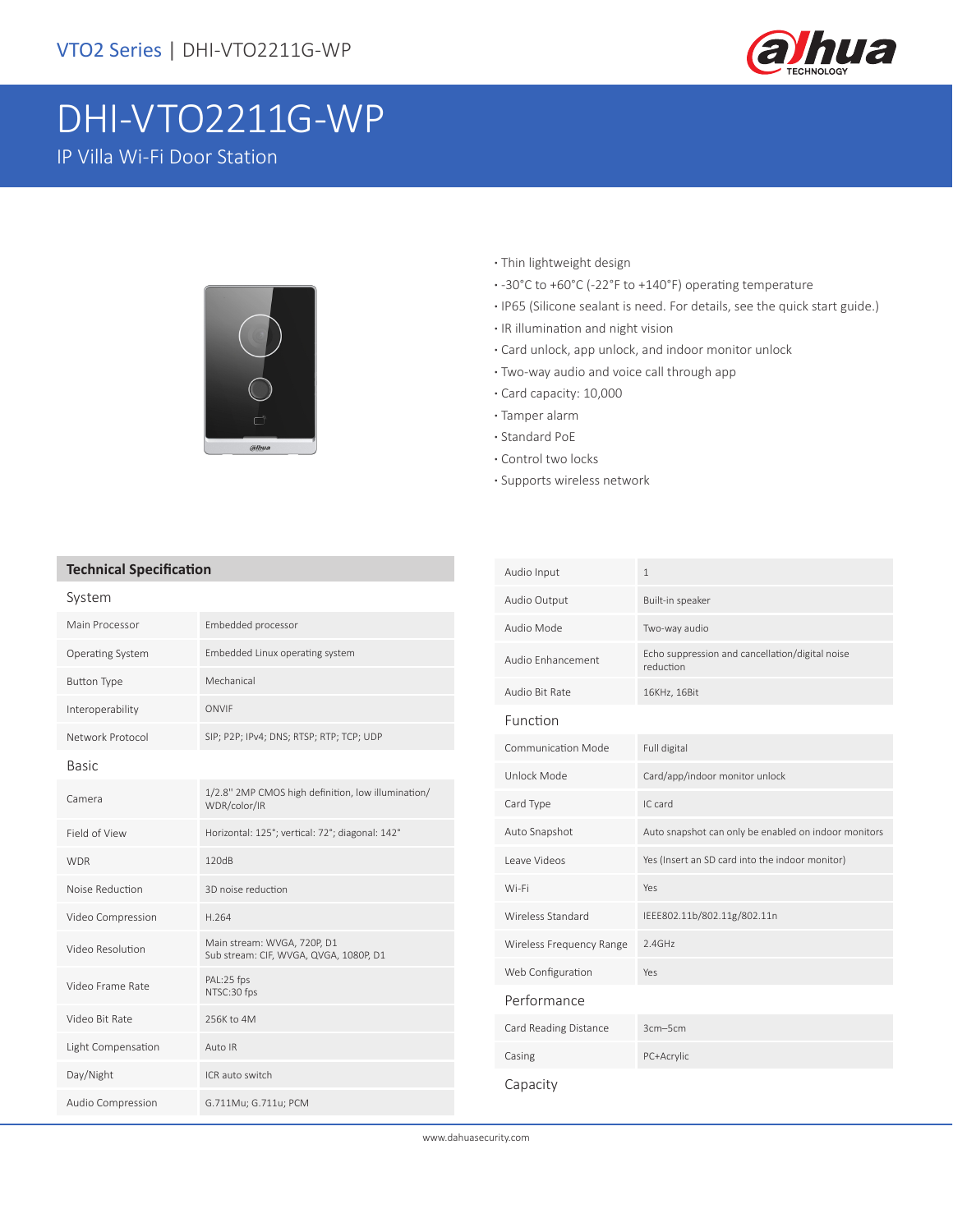

# DHI-VTO2211G-WP

IP Villa Wi-Fi Door Station



- **·** Thin lightweight design
- **·** -30°C to +60°C (-22°F to +140°F) operating temperature
- **·** IP65 (Silicone sealant is need. For details, see the quick start guide.)
- **·** IR illumination and night vision
- **·** Card unlock, app unlock, and indoor monitor unlock
- **·** Two-way audio and voice call through app
- **·** Card capacity: 10,000
- **·** Tamper alarm
- **·** Standard PoE
- **·** Control two locks
- **·** Supports wireless network

#### **Technical Specification**

| System             |                                                                       |
|--------------------|-----------------------------------------------------------------------|
| Main Processor     | Embedded processor                                                    |
| Operating System   | Embedded Linux operating system                                       |
| <b>Button Type</b> | Mechanical                                                            |
| Interoperability   | ONVIF                                                                 |
| Network Protocol   | SIP; P2P; IPv4; DNS; RTSP; RTP; TCP; UDP                              |
| <b>Basic</b>       |                                                                       |
| Camera             | 1/2.8" 2MP CMOS high definition, low illumination/<br>WDR/color/IR    |
| Field of View      | Horizontal: 125°; vertical: 72°; diagonal: 142°                       |
| <b>WDR</b>         | 120dB                                                                 |
| Noise Reduction    | 3D noise reduction                                                    |
| Video Compression  | H.264                                                                 |
| Video Resolution   | Main stream: WVGA, 720P, D1<br>Sub stream: CIF, WVGA, QVGA, 1080P, D1 |
| Video Frame Rate   | PAL:25 fps<br>NTSC:30 fps                                             |
| Video Bit Rate     | 256K to 4M                                                            |
| Light Compensation | Auto IR                                                               |
| Day/Night          | ICR auto switch                                                       |
| Audio Compression  | G.711Mu; G.711u; PCM                                                  |

| Audio Input              | $\mathbf{1}$                                                 |
|--------------------------|--------------------------------------------------------------|
| Audio Output             | Built-in speaker                                             |
| Audio Mode               | Two-way audio                                                |
| Audio Enhancement        | Echo suppression and cancellation/digital noise<br>reduction |
| Audio Bit Rate           | 16KHz, 16Bit                                                 |
| Function                 |                                                              |
| Communication Mode       | Full digital                                                 |
| Unlock Mode              | Card/app/indoor monitor unlock                               |
| Card Type                | IC card                                                      |
| Auto Snapshot            | Auto snapshot can only be enabled on indoor monitors         |
| Leave Videos             | Yes (Insert an SD card into the indoor monitor)              |
| Wi-Fi                    | Yes                                                          |
| Wireless Standard        | IEEE802.11b/802.11g/802.11n                                  |
| Wireless Frequency Range | 2.4GHz                                                       |
| Web Configuration        | Yes                                                          |
| Performance              |                                                              |
| Card Reading Distance    | $3cm - 5cm$                                                  |
| Casing                   | PC+Acrylic                                                   |
| Capacity                 |                                                              |

www.dahuasecurity.com